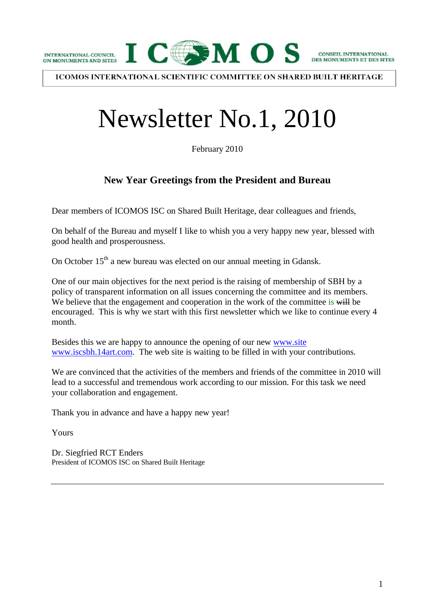



**ICOMOS INTERNATIONAL SCIENTIFIC COMMITTEE ON SHARED BUILT HERITAGE** 

# Newsletter No.1, 2010

February 2010

## **New Year Greetings from the President and Bureau**

Dear members of ICOMOS ISC on Shared Built Heritage, dear colleagues and friends,

On behalf of the Bureau and myself I like to whish you a very happy new year, blessed with good health and prosperousness.

On October 15<sup>th</sup> a new bureau was elected on our annual meeting in Gdansk.

One of our main objectives for the next period is the raising of membership of SBH by a policy of transparent information on all issues concerning the committee and its members. We believe that the engagement and cooperation in the work of the committee is will be encouraged. This is why we start with this first newsletter which we like to continue every 4 month.

Besides this we are happy to announce the opening of our new [www.site](http://www.site/) [www.iscsbh.14art.com](http://www.iscsbh.14art.com/statutes). The web site is waiting to be filled in with your contributions.

We are convinced that the activities of the members and friends of the committee in 2010 will lead to a successful and tremendous work according to our mission. For this task we need your collaboration and engagement.

Thank you in advance and have a happy new year!

Yours

Dr. Siegfried RCT Enders President of ICOMOS ISC on Shared Built Heritage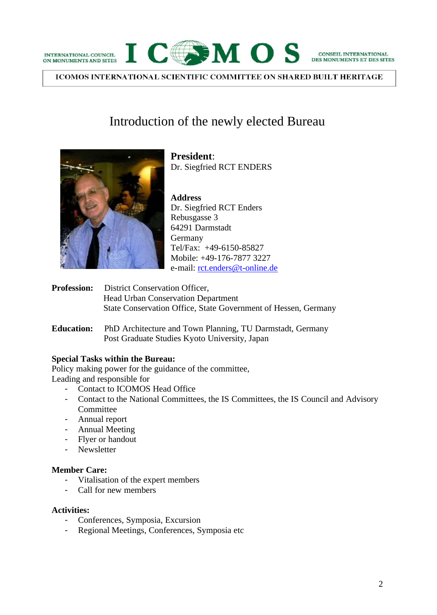

**CONSEIL INTERNATIONAL** DES MONUMENTS ET DES SITES

ICOMOS INTERNATIONAL SCIENTIFIC COMMITTEE ON SHARED BUILT HERITAGE

## Introduction of the newly elected Bureau



**President**: Dr. Siegfried RCT ENDERS

**Address** Dr. Siegfried RCT Enders Rebusgasse 3 64291 Darmstadt Germany Tel/Fax: +49-6150-85827 Mobile: +49-176-7877 3227 e-mail: [rct.enders@t-online.de](mailto:rct.enders@t-online.de)

- Profession: District Conservation Officer, Head Urban Conservation Department State Conservation Office, State Government of Hessen, Germany
- **Education:** PhD Architecture and Town Planning, TU Darmstadt, Germany Post Graduate Studies Kyoto University, Japan

## **Special Tasks within the Bureau:**

Policy making power for the guidance of the committee, Leading and responsible for

- Contact to ICOMOS Head Office
- Contact to the National Committees, the IS Committees, the IS Council and Advisory Committee
- Annual report
- Annual Meeting
- Flyer or handout
- Newsletter

## **Member Care:**

- Vitalisation of the expert members
- Call for new members

## **Activities:**

- Conferences, Symposia, Excursion
- Regional Meetings, Conferences, Symposia etc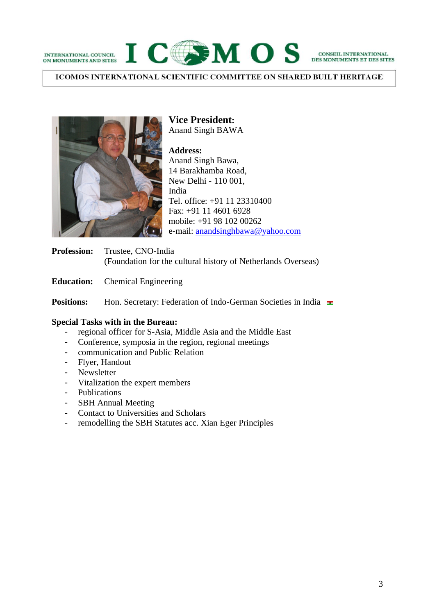

CONSEIL INTERNATIONAL DES MONUMENTS ET DES SITES

**ICOMOS INTERNATIONAL SCIENTIFIC COMMITTEE ON SHARED BUILT HERITAGE** 



**Vice President:**  Anand Singh BAWA

**Address:** Anand Singh Bawa, 14 Barakhamba Road, New Delhi - 110 001, India Tel. office: +91 11 23310400 Fax: +91 11 4601 6928 mobile: +91 98 102 00262 e-mail: [anandsinghbawa@yahoo.com](mailto:anandsinghbawa@yahoo.com)

**Profession:** Trustee, CNO-India (Foundation for the cultural history of Netherlands Overseas)

**Education:** Chemical Engineering

**Positions:** Hon. Secretary: Federation of Indo-German Societies in India  $\pm$ 

#### **Special Tasks with in the Bureau:**

- regional officer for S-Asia, Middle Asia and the Middle East
- Conference, symposia in the region, regional meetings
- communication and Public Relation
- Flyer, Handout
- Newsletter
- Vitalization the expert members
- Publications
- SBH Annual Meeting
- Contact to Universities and Scholars
- remodelling the SBH Statutes acc. Xian Eger Principles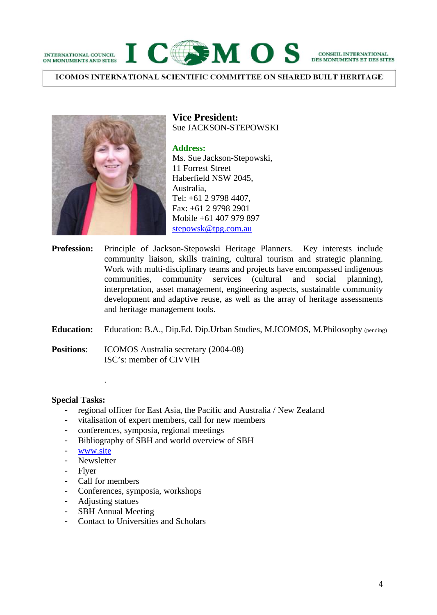

CONSEIL INTERNATIONAL DES MONUMENTS ET DES SITES

ICOMOS INTERNATIONAL SCIENTIFIC COMMITTEE ON SHARED BUILT HERITAGE



**Vice President:**  Sue JACKSON-STEPOWSKI

#### **Address:**

Ms. Sue Jackson-Stepowski, 11 Forrest Street Haberfield NSW 2045, Australia, Tel: +61 2 9798 4407, Fax: +61 2 9798 2901 Mobile +61 407 979 897 [stepowsk@tpg.com.au](mailto:stepowsk@tpg.com.au)

**Profession:** Principle of Jackson-Stepowski Heritage Planners. Key interests include community liaison, skills training, cultural tourism and strategic planning. Work with multi-disciplinary teams and projects have encompassed indigenous communities, community services (cultural and social planning), interpretation, asset management, engineering aspects, sustainable community development and adaptive reuse, as well as the array of heritage assessments and heritage management tools.

**Education:** Education: B.A., Dip.Ed. Dip.Urban Studies, M.ICOMOS, M.Philosophy (pending)

**Positions**: ICOMOS Australia secretary (2004-08) ISC's: member of CIVVIH

#### **Special Tasks:**

- regional officer for East Asia, the Pacific and Australia / New Zealand
- vitalisation of expert members, call for new members
- conferences, symposia, regional meetings
- Bibliography of SBH and world overview of SBH
- [www.site](http://www.site/)
- Newsletter
- Flyer
- Call for members

.

- Conferences, symposia, workshops
- Adjusting statues
- SBH Annual Meeting
- Contact to Universities and Scholars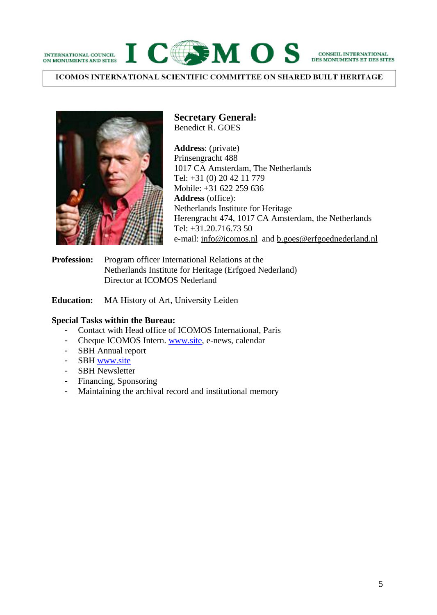

**CONSEIL INTERNATIONAL** DES MONUMENTS ET DES SITES

**ICOMOS INTERNATIONAL SCIENTIFIC COMMITTEE ON SHARED BUILT HERITAGE** 



**Secretary General:**  Benedict R. GOES

**Address**: (private) Prinsengracht 488 1017 CA Amsterdam, The Netherlands Tel: +31 (0) 20 42 11 779 Mobile: +31 622 259 636 **Address** (office): Netherlands Institute for Heritage Herengracht 474, 1017 CA Amsterdam, the Netherlands Tel: +31.20.716.73 50 e-mail: [info@icomos.nl](mailto:info@icomos.nl) and [b.goes@erfgoednederland.nl](mailto:b.goes@erfgoednederland.nl)

**Profession:** Program officer International Relations at the Netherlands Institute for Heritage (Erfgoed Nederland) Director at ICOMOS Nederland

**Education:** MA History of Art, University Leiden

#### **Special Tasks within the Bureau:**

- Contact with Head office of ICOMOS International, Paris
- Cheque ICOMOS Intern. [www.site](http://www.site/), e-news, calendar
- SBH Annual report
- SBH [www.site](http://www.site/)
- SBH Newsletter
- Financing, Sponsoring
- Maintaining the archival record and institutional memory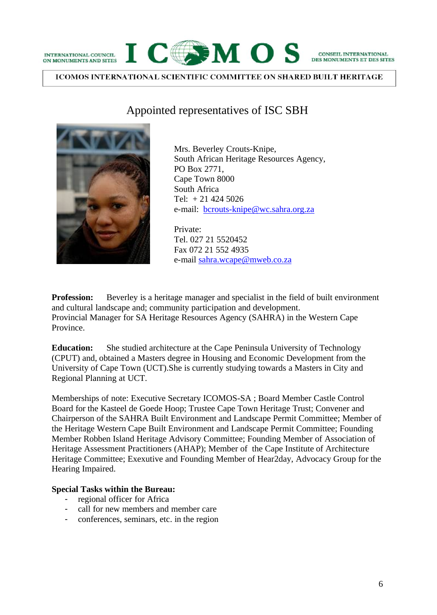

CONSEIL INTERNATIONAL

**ICOMOS INTERNATIONAL SCIENTIFIC COMMITTEE ON SHARED BUILT HERITAGE** 



Appointed representatives of ISC SBH

Mrs. Beverley Crouts-Knipe, South African Heritage Resources Agency, PO Box 2771, Cape Town 8000 South Africa Tel:  $+ 214245026$ e-mail: <u>[bcrouts-knipe@wc.sahra.org.za](mailto:bcrouts-knipe@wc.sahra.org.za)</u>

Private: Tel. 027 21 5520452 Fax 072 21 552 4935 e-mail [sahra.wcape@mweb.co.za](mailto:sahra.wcape@mweb.co.za)

**Profession:** Beverley is a heritage manager and specialist in the field of built environment and cultural landscape and; community participation and development. Provincial Manager for SA Heritage Resources Agency (SAHRA) in the Western Cape Province.

**Education:** She studied architecture at the Cape Peninsula University of Technology (CPUT) and, obtained a Masters degree in Housing and Economic Development from the University of Cape Town (UCT).She is currently studying towards a Masters in City and Regional Planning at UCT.

Memberships of note: Executive Secretary ICOMOS-SA ; Board Member Castle Control Board for the Kasteel de Goede Hoop; Trustee Cape Town Heritage Trust; Convener and Chairperson of the SAHRA Built Environment and Landscape Permit Committee; Member of the Heritage Western Cape Built Environment and Landscape Permit Committee; Founding Member Robben Island Heritage Advisory Committee; Founding Member of Association of Heritage Assessment Practitioners (AHAP); Member of the Cape Institute of Architecture Heritage Committee; Exexutive and Founding Member of Hear2day, Advocacy Group for the Hearing Impaired.

## **Special Tasks within the Bureau:**

- regional officer for Africa
- call for new members and member care
- conferences, seminars, etc. in the region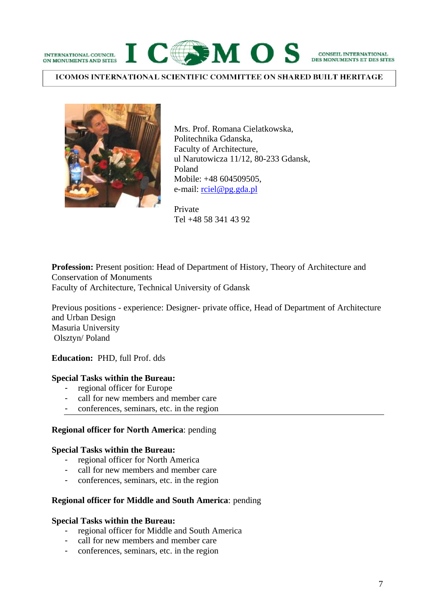

CONSEIL INTERNATIONAL MONUMENTS ET DES SITES

**ICOMOS INTERNATIONAL SCIENTIFIC COMMITTEE ON SHARED BUILT HERITAGE** 



Mrs. Prof. Romana Cielatkowska, Politechnika Gdanska, Faculty of Architecture, ul Narutowicza 11/12, 80-233 Gdansk, Poland Mobile: +48 604509505, e-mail: [rciel@pg.gda.pl](mailto:rciel@pg.gda.pl)

Private Tel +48 58 341 43 92

**Profession:** Present position: Head of Department of History, Theory of Architecture and Conservation of Monuments Faculty of Architecture, Technical University of Gdansk

Previous positions - experience: Designer- private office, Head of Department of Architecture and Urban Design Masuria University Olsztyn/ Poland

**Education:** PHD, full Prof. dds

#### **Special Tasks within the Bureau:**

- regional officer for Europe
- call for new members and member care
- conferences, seminars, etc. in the region

#### **Regional officer for North America**: pending

#### **Special Tasks within the Bureau:**

- regional officer for North America
- call for new members and member care
- conferences, seminars, etc. in the region

#### **Regional officer for Middle and South America**: pending

#### **Special Tasks within the Bureau:**

- regional officer for Middle and South America
- call for new members and member care
- conferences, seminars, etc. in the region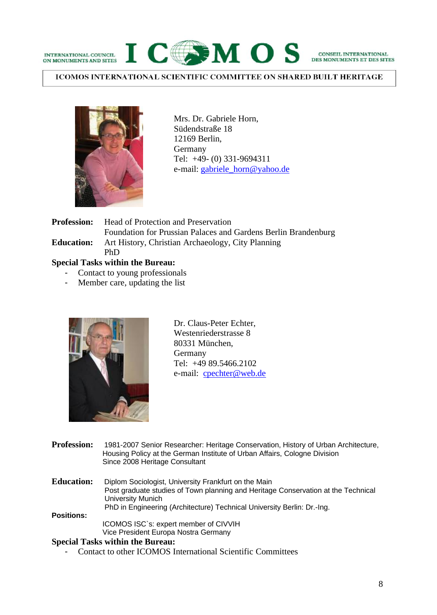

CONSEIL INTERNATIONAL DES MONUMENTS ET DES SITES

ICOMOS INTERNATIONAL SCIENTIFIC COMMITTEE ON SHARED BUILT HERITAGE



Mrs. Dr. Gabriele Horn, Südendstraße 18 12169 Berlin, Germany Tel: +49- (0) 331-9694311 e-mail: [gabriele\\_horn@yahoo.de](mailto:gabriele_horn@yahoo.de)

**Profession:** Head of Protection and Preservation Foundation for Prussian Palaces and Gardens Berlin Brandenburg **Education:** Art History, Christian Archaeology, City Planning PhD

## **Special Tasks within the Bureau:**

- Contact to young professionals
- Member care, updating the list



Dr. Claus-Peter Echter, Westenriederstrasse 8 80331 München, Germany Tel: +49 89.5466.2102 e-mail: [cpechter@web.de](mailto:cpechter@web.de)

- **Profession:** 1981-2007 Senior Researcher: Heritage Conservation, History of Urban Architecture, Housing Policy at the German Institute of Urban Affairs, Cologne Division Since 2008 Heritage Consultant
- **Education:** Diplom Sociologist, University Frankfurt on the Main Post graduate studies of Town planning and Heritage Conservation at the Technical University Munich PhD in Engineering (Architecture) Technical University Berlin: Dr.-Ing.

**Positions:**

ICOMOS ISC`s: expert member of CIVVIH Vice President Europa Nostra Germany

#### **Special Tasks within the Bureau:**

- Contact to other ICOMOS International Scientific Committees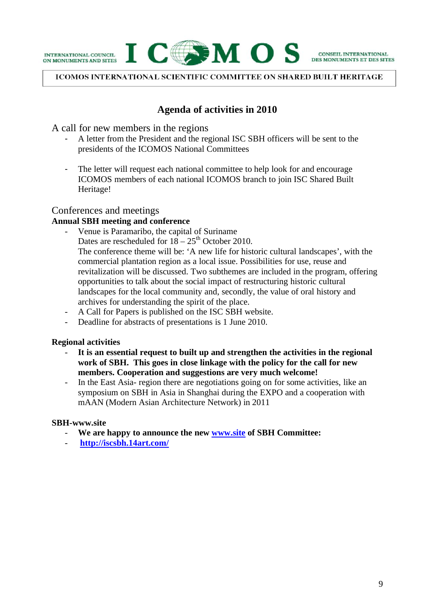





**ICOMOS INTERNATIONAL SCIENTIFIC COMMITTEE ON SHARED BUILT HERITAGE** 

## **Agenda of activities in 2010**

A call for new members in the regions

- A letter from the President and the regional ISC SBH officers will be sent to the presidents of the ICOMOS National Committees
- The letter will request each national committee to help look for and encourage ICOMOS members of each national ICOMOS branch to join ISC Shared Built Heritage!

## Conferences and meetings

## **Annual SBH meeting and conference**

- Venue is Paramaribo, the capital of Suriname
- Dates are rescheduled for  $18 25<sup>th</sup>$  October 2010.
- The conference theme will be: 'A new life for historic cultural landscapes', with the commercial plantation region as a local issue. Possibilities for use, reuse and revitalization will be discussed. Two subthemes are included in the program, offering opportunities to talk about the social impact of restructuring historic cultural landscapes for the local community and, secondly, the value of oral history and archives for understanding the spirit of the place.
- A Call for Papers is published on the ISC SBH website.
- Deadline for abstracts of presentations is 1 June 2010.

## **Regional activities**

- **It is an essential request to built up and strengthen the activities in the regional work of SBH. This goes in close linkage with the policy for the call for new members. Cooperation and suggestions are very much welcome!**
- In the East Asia- region there are negotiations going on for some activities, like an symposium on SBH in Asia in Shanghai during the EXPO and a cooperation with mAAN (Modern Asian Architecture Network) in 2011

## **SBH-www.site**

- **We are happy to announce the new [www.site](http://www.site/) of SBH Committee:**
- **<http://iscsbh.14art.com/>**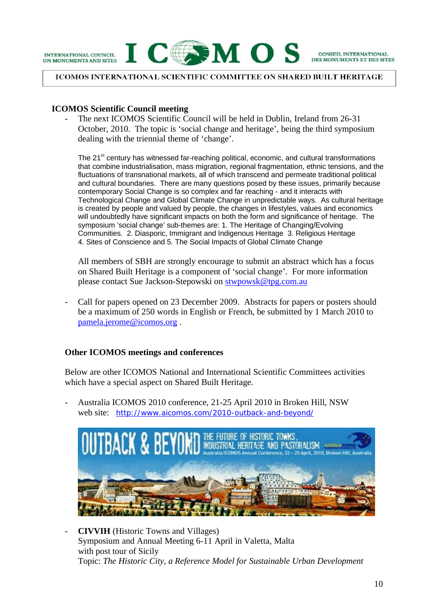





**ICOMOS INTERNATIONAL SCIENTIFIC COMMITTEE ON SHARED BUILT HERITAGE** 

## **ICOMOS Scientific Council meeting**

The next ICOMOS Scientific Council will be held in Dublin, Ireland from 26-31 October, 2010. The topic is 'social change and heritage', being the third symposium dealing with the triennial theme of 'change'.

The 21<sup>st</sup> century has witnessed far-reaching political, economic, and cultural transformations that combine industrialisation, mass migration, regional fragmentation, ethnic tensions, and the fluctuations of transnational markets, all of which transcend and permeate traditional political and cultural boundaries. There are many questions posed by these issues, primarily because contemporary Social Change is so complex and far reaching - and it interacts with Technological Change and Global Climate Change in unpredictable ways. As cultural heritage is created by people and valued by people, the changes in lifestyles, values and economics will undoubtedly have significant impacts on both the form and significance of heritage. The symposium 'social change' sub-themes are: 1. The Heritage of Changing/Evolving Communities. 2. Diasporic, Immigrant and Indigenous Heritage 3. Religious Heritage 4. Sites of Conscience and 5. The Social Impacts of Global Climate Change

All members of SBH are strongly encourage to submit an abstract which has a focus on Shared Built Heritage is a component of 'social change'. For more information please contact Sue Jackson-Stepowski on [stwpowsk@tpg.com.au](mailto:stwpowsk@tpg.com.au)

Call for papers opened on 23 December 2009. Abstracts for papers or posters should be a maximum of 250 words in English or French, be submitted by 1 March 2010 to [pamela.jerome@icomos.org](mailto:pamela.jerome@icomos.org) .

## **Other ICOMOS meetings and conferences**

Below are other ICOMOS National and International Scientific Committees activities which have a special aspect on Shared Built Heritage.

- Australia ICOMOS 2010 conference, 21-25 April 2010 in Broken Hill, NSW web site: <http://www.aicomos.com/2010-outback-and-beyond/>



- **CIVVIH** (Historic Towns and Villages) Symposium and Annual Meeting 6-11 April in Valetta, Malta with post tour of Sicily Topic: *The Historic City, a Reference Model for Sustainable Urban Development*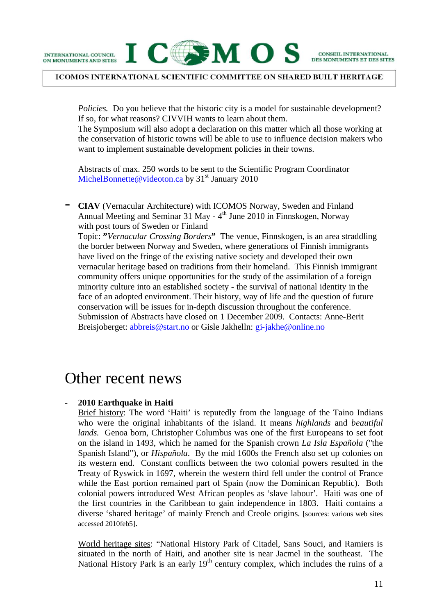



CONSEIL INTERNATIONAL

#### **ICOMOS INTERNATIONAL SCIENTIFIC COMMITTEE ON SHARED BUILT HERITAGE**

*Policies.* Do you believe that the historic city is a model for sustainable development? If so, for what reasons? CIVVIH wants to learn about them.

The Symposium will also adopt a declaration on this matter which all those working at the conservation of historic towns will be able to use to influence decision makers who want to implement sustainable development policies in their towns.

Abstracts of max. 250 words to be sent to the Scientific Program Coordinator [MichelBonnette@videoton.ca](mailto:MichelBonnette@videoton.ca) by  $31<sup>st</sup>$  January 2010

- **CIAV** (Vernacular Architecture) with ICOMOS Norway, Sweden and Finland Annual Meeting and Seminar 31 May - 4<sup>th</sup> June 2010 in Finnskogen, Norway with post tours of Sweden or Finland Topic: **"***Vernacular Crossing Borders***"** The venue, Finnskogen, is an area straddling the border between Norway and Sweden, where generations of Finnish immigrants have lived on the fringe of the existing native society and developed their own vernacular heritage based on traditions from their homeland. This Finnish immigrant community offers unique opportunities for the study of the assimilation of a foreign minority culture into an established society - the survival of national identity in the face of an adopted environment. Their history, way of life and the question of future conservation will be issues for in-depth discussion throughout the conference. Submission of Abstracts have closed on 1 December 2009. Contacts: Anne-Berit Breisjoberget: [abbreis@start.no](mailto:abbreis@start.no) or Gisle Jakhelln: [gi-jakhe@online.no](mailto:gi-jakhe@online.no)

# Other recent news

## - **2010 Earthquake in Haiti**

Brief history: The word 'Haiti' is reputedly from the language of the Taino Indians who were the original inhabitants of the island. It means *highlands* and *beautiful lands.* Genoa born, Christopher Columbus was one of the first Europeans to set foot on the island in 1493, which he named for the Spanish crown *La Isla Española* ("the Spanish Island"), or *Hispañola*. By the mid 1600s the French also set up colonies on its western end. Constant conflicts between the two colonial powers resulted in the Treaty of Ryswick in 1697, wherein the western third fell under the control of France while the East portion remained part of Spain (now the Dominican Republic). Both colonial powers introduced West African peoples as 'slave labour'. Haiti was one of the first countries in the Caribbean to gain independence in 1803. Haiti contains a diverse 'shared heritage' of mainly French and Creole origins. [sources: various web sites accessed 2010feb5].

World heritage sites: "National History Park of Citadel, Sans Souci, and Ramiers is situated in the north of Haiti, and another site is near Jacmel in the southeast. The National History Park is an early 19<sup>th</sup> century complex, which includes the ruins of a